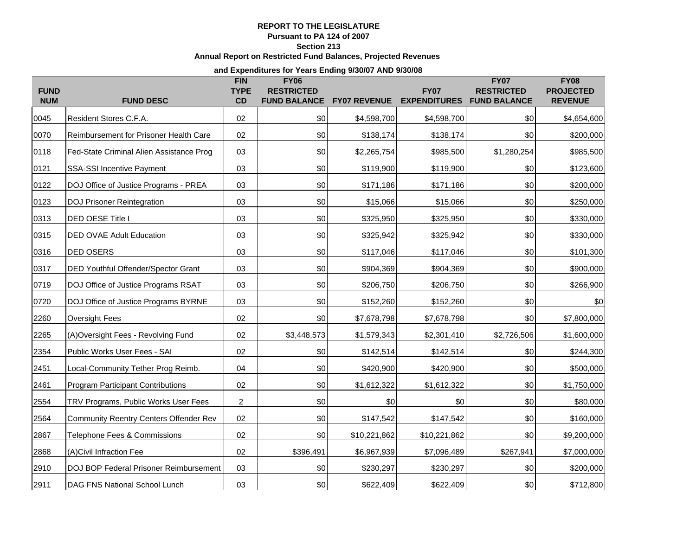# **REPORT TO THE LEGISLATURE**

**Pursuant to PA 124 of 2007**

**Section 213**

# **Annual Report on Restricted Fund Balances, Projected Revenues**

#### **and Expenditures for Years Ending 9/30/07 AND 9/30/08**

| <b>FUND</b> |                                               | <b>FIN</b><br><b>TYPE</b> | <b>FY06</b><br><b>RESTRICTED</b> |                     | <b>FY07</b>         | <b>FY07</b><br><b>RESTRICTED</b> | <b>FY08</b><br><b>PROJECTED</b> |
|-------------|-----------------------------------------------|---------------------------|----------------------------------|---------------------|---------------------|----------------------------------|---------------------------------|
| <b>NUM</b>  | <b>FUND DESC</b>                              | CD                        | <b>FUND BALANCE</b>              | <b>FY07 REVENUE</b> | <b>EXPENDITURES</b> | <b>FUND BALANCE</b>              | <b>REVENUE</b>                  |
| 0045        | Resident Stores C.F.A.                        | 02                        | \$0                              | \$4,598,700         | \$4,598,700         | \$0                              | \$4,654,600                     |
| 0070        | Reimbursement for Prisoner Health Care        | 02                        | \$0                              | \$138,174           | \$138,174           | \$0                              | \$200,000                       |
| 0118        | Fed-State Criminal Alien Assistance Prog      | 03                        | \$0                              | \$2,265,754         | \$985,500           | \$1,280,254                      | \$985,500                       |
| 0121        | <b>SSA-SSI Incentive Payment</b>              | 03                        | \$0                              | \$119,900           | \$119,900           | \$0                              | \$123,600                       |
| 0122        | DOJ Office of Justice Programs - PREA         | 03                        | \$0                              | \$171,186           | \$171,186           | \$0                              | \$200,000                       |
| 0123        | <b>DOJ Prisoner Reintegration</b>             | 03                        | \$0                              | \$15,066            | \$15,066            | \$0                              | \$250,000                       |
| 0313        | DED OESE Title I                              | 03                        | \$0                              | \$325,950           | \$325,950           | \$0                              | \$330,000                       |
| 0315        | <b>DED OVAE Adult Education</b>               | 03                        | \$0                              | \$325,942           | \$325,942           | \$0                              | \$330,000                       |
| 0316        | DED OSERS                                     | 03                        | \$0                              | \$117,046           | \$117,046           | \$0                              | \$101,300                       |
| 0317        | DED Youthful Offender/Spector Grant           | 03                        | \$0                              | \$904,369           | \$904,369           | \$0                              | \$900,000                       |
| 0719        | DOJ Office of Justice Programs RSAT           | 03                        | \$0                              | \$206,750           | \$206,750           | \$0                              | \$266,900                       |
| 0720        | DOJ Office of Justice Programs BYRNE          | 03                        | \$0                              | \$152,260           | \$152,260           | \$0                              | \$0                             |
| 2260        | <b>Oversight Fees</b>                         | 02                        | \$0                              | \$7,678,798         | \$7,678,798         | \$0                              | \$7,800,000                     |
| 2265        | (A) Oversight Fees - Revolving Fund           | 02                        | \$3,448,573                      | \$1,579,343         | \$2,301,410         | \$2,726,506                      | \$1,600,000                     |
| 2354        | Public Works User Fees - SAI                  | 02                        | \$0                              | \$142,514           | \$142,514           | \$0                              | \$244,300                       |
| 2451        | Local-Community Tether Prog Reimb.            | 04                        | \$0                              | \$420,900           | \$420,900           | \$0                              | \$500,000                       |
| 2461        | <b>Program Participant Contributions</b>      | 02                        | \$0                              | \$1,612,322         | \$1,612,322         | \$0                              | \$1,750,000                     |
| 2554        | TRV Programs, Public Works User Fees          | 2                         | \$0                              | \$0                 | \$0                 | \$0                              | \$80,000                        |
| 2564        | <b>Community Reentry Centers Offender Rev</b> | 02                        | \$0                              | \$147,542           | \$147,542           | \$0                              | \$160,000                       |
| 2867        | Telephone Fees & Commissions                  | 02                        | \$0                              | \$10,221,862        | \$10,221,862        | \$0                              | \$9,200,000                     |
| 2868        | (A)Civil Infraction Fee                       | 02                        | \$396,491                        | \$6,967,939         | \$7,096,489         | \$267,941                        | \$7,000,000                     |
| 2910        | DOJ BOP Federal Prisoner Reimbursement        | 03                        | \$0                              | \$230,297           | \$230,297           | \$0                              | \$200,000                       |
| 2911        | DAG FNS National School Lunch                 | 03                        | \$0                              | \$622,409           | \$622,409           | \$0                              | \$712,800                       |